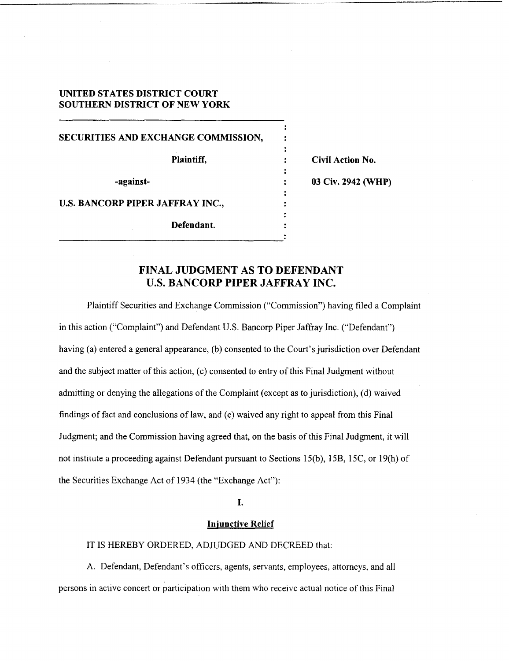## **UNITED STATES DISTRICT COURT SOUTHERN DISTRICT OF NEW YORK**

**SECURITIES AND EXCHANGE COMMISSION, Plaintiff.**  $\qquad \qquad$  : Civil Action No. **-against- 03 Civ. 2942 (WHP) U.S. BANCORP PIPER JAFFRAY INC., Defendant.** 

## **FINAL JUDGMENT AS TO DEFENDANT U.S. BANCORP PIPER JAFFRAY INC.**

Plaintiff Securities and Exchange Commission ("Commission") having filed a Complaint in this action ("Complaint") and Defendant U.S. Bancorp Piper Jaffray Inc. ("Defendant") having (a) entered a general appearance, (b) consented to the Court's jurisdiction over Defendant and the subject matter of this action, (c) consented to entry of this Final Judgment without admitting or denying the allegations of the Complaint (except as to jurisdiction), (d) waived findings of fact and conclusions of law, and (e) waived any right to appeal from this Final Judgment; and the Commission having agreed that, on the basis of this Final Judgment, it will not institute a proceeding against Defendant pursuant to Sections 15(b), 15B, 15C, or 19(h) of the Securities Exchange Act of 1934 (the "Exchange Act"):

## **I.**

## **In iunctive Relief**

#### 1T IS HEREBY ORDERED, ADJUDGED *AND* DECREED that:

**A.** Defendant, Defendant's officers, agents, servants, employees, attorneys, and all persons in active concert or participation with them who receive actual notice of this Final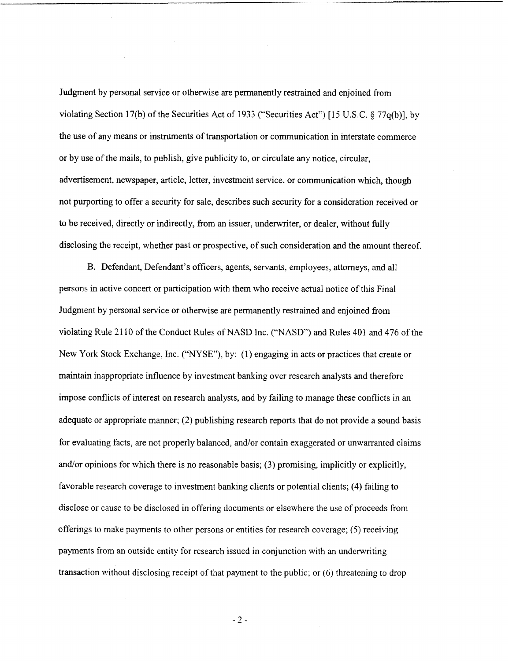Judgment by personal service or otherwise are permanently restrained and enjoined from violating Section 17(b) of the Securities Act of 1933 ("Securities Act") [ 15 U.S.C. **9** 77q(b)], by the use of any means or instruments of transportation or communication in interstate commerce or by use of the mails, to publish, give publicity to, or circulate any notice, circular, advertisement, newspaper, article, letter, investment service, or communication which, though not purporting to offer a security for sale, describes such security for a consideration received or to be received, directly or indirectly, from an issuer, underwriter, or dealer, without fully disclosing the receipt, whether past **or** prospective, of such consideration and the amount thereof.

B. Defendant, Defendant's officers, agents, servants, employees, attorneys, and all persons in active concert or participation with them who receive actual notice of this Final Judgment by personal service or otherwise are permanently restrained and enjoined from violating Rule 2 1 10 of the Conduct Rules of NASD Inc. ("NASD') and Rules 401 and 476 of the New York Stock Exchange, Inc. ("NYSE"), by: (1) engaging in acts or practices that create or maintain inappropriate influence by investment banking over research analysts and therefore impose conflicts of interest on research analysts, and by failing to manage these conflicts in an adequate or appropriate manner; (2) publishing research reports that do not provide a sound basis for evaluating facts, are not properly balanced, and/or contain exaggerated or unwarranted claims and/or opinions for which there is no reasonable basis; (3) promising, implicitly or explicitly, favorable research coverage to investment banking clients or potential clients; (4) failing to disclose or cause to be disclosed in offering documents or elsewhere the use of proceeds from offerings to make payments to other persons or entities for research coverage; (5) receiving payments from an outside entity for research issued in conjunction with an underwriting transaction without disclosing receipt of that payment to the public; or (6) threatening to drop

-2-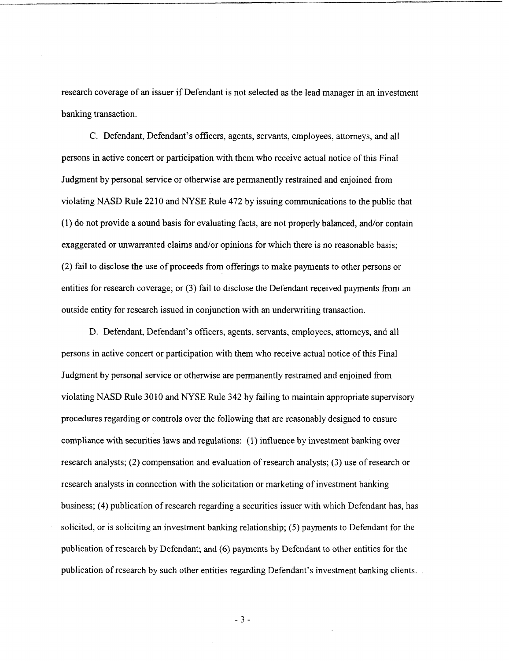research coverage of an issuer if Defendant is not selected as the lead manager in an investment banking transaction.

C. Defendant, Defendant's officers, agents, servants, employees, attorneys, and all persons in active concert or participation with them who receive actual notice of this Final Judgment by personal service or otherwise are permanently restrained and enjoined from violating NASD Rule 2210 and **NYSE** Rule 472 by issuing communications to the public that (1) do not provide a sound basis for evaluating facts, are not properly balanced, and/or contain exaggerated or unwarranted claims and/or opinions for which there is no reasonable basis; (2) fail to disclose the use of proceeds from offerings to make payments to other persons or entities for research coverage; or (3) fail to disclose the Defendant received payments from an outside entity for research issued in conjunction with an underwriting transaction.

D. Defendant, Defendant's officers, agents, servants, employees, attorneys, and all persons in active concert or participation with them who receive actual notice of this Final Judgment by personal service or otherwise are permanently restrained and enjoined from violating NASD Rule 3010 and NYSE Rule 342 by failing to maintain appropriate supervisory procedures regarding or controls over the following that are reasonably designed to ensure compliance with securities laws and regulations: (1) influence by investment banking over research analysts; (2) compensation and evaluation of research analysts; (3) use of research or research analysts in connection with the solicitation or marketing of investment banking business; (4) publication of research regarding a securities issuer with which Defendant has, has solicited, or is soliciting an investment banking relationship; *(5)* payments to Defendant for the publication of research by Defendant; and (6) payments by Defendant to other entities for the publication of research by such other entities regarding Defendant's investment banking clients.

-3-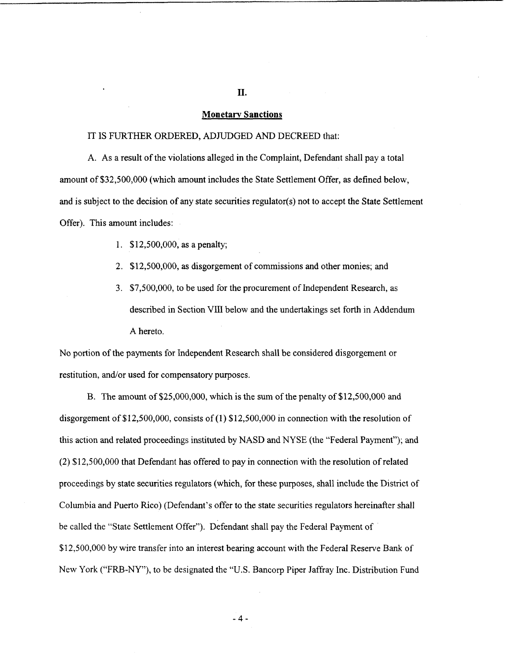## **Monetarv Sanctions**

#### IT **IS** FURTHER ORDERED, ADJUDGED *AND* DECREED that:

A. As a result of the violations alleged in the Complaint, Defendant shall pay a total amount of \$32,500,000 (which amount includes the State Settlement Offer, **as** defined below, and is subject to the decision of any state securities regulator(s) not to accept the State Settlement Offer). This amount includes:

- 1. \$12,500,000, as a penalty;
- 2. \$12,500,000, **as** disgorgement of commissions and other monies; and
- 3. \$7,500,000, to be used for the procurement of Independent Research, as described in Section VIII below and the undertakings set forth in Addendum A hereto.

No portion of the payments for Independent Research shall be considered disgorgement or restitution, and/or used for compensatory purposes.

B. The amount of \$25,000,000, which is the sum of the penalty of \$12,500,000 and disgorgement of \$12,500,000, consists of (1) \$12,500,000 in connection with the resolution of this action and related proceedings instituted by NASD and NYSE (the "Federal Payment"); and (2) \$12,500,000 that Defendant has offered to pay in connection with the resolution of related proceedings by state securities regulators (which, for these purposes, shall include the District of Columbia and Puerto Rico) (Defendant's offer to the state securities regulators hereinafter shall be called the "State Settlement Offer"). Defendant shall pay the Federal Payment of \$12,500,000 by wire transfer into an interest bearing account with the Federal Reserve Bank of New York ("FRB-NY"), to be designated the "U.S. Bancorp Piper Jaffray Inc. Distribution Fund

**11.** 

**-4-**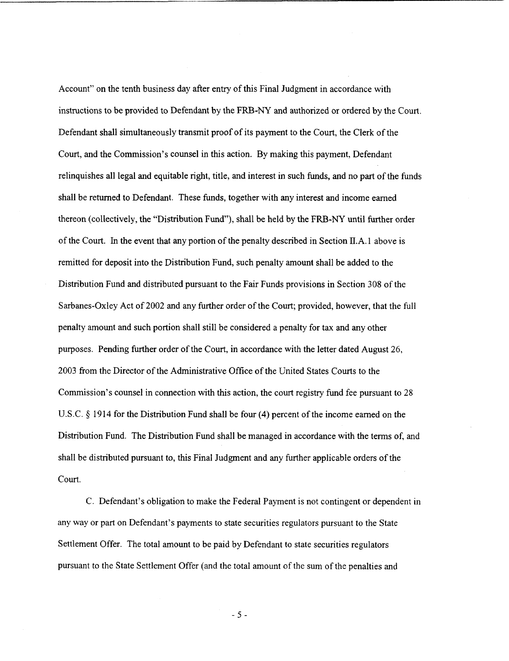Account" on the tenth business day after entry of this Final Judgment in accordance with instructions to be provided to Defendant by the FRB-NY and authorized or ordered by the Court. Defendant shall simultaneously transmit proof of its payment to the Court, the Clerk of the Court, and the Commission's counsel in this action. By making this payment, Defendant relinquishes all legal and equitable right, title, and interest in such funds, and no part of the funds shall be returned to Defendant. These funds, together with any interest and income earned thereon (collectively, the "Distribution Fund"), shall be held by the FRB-NY until further order of the Court. In the event that any portion of the penalty described in Section **D.A.** 1 above is remitted for deposit into the Distribution Fund, such penalty amount shall be added to the Distribution Fund and distributed pursuant to the Fair Funds provisions in Section 308 of the Sarbanes-Oxley Act of 2002 and any further order of the Court; provided, however, that the full penalty amount and such portion shall still be considered a penalty for tax and any other purposes. Pending further order of the Court, in accordance with the letter dated August 26, 2003 from the Director of the Administrative Office of the United States Courts to the Commission's counsel in connection with this action, the court registry fund fee pursuant to 28 U.S.C. **6** 19 14 for the Distribution Fund shall be four **(4)** percent of the income earned on the Distribution Fund. The Distribution Fund shall be managed in accordance with the terms of, and shall be distributed pursuant to, this Final Judgment and any further applicable orders of the court.

C. Defendant's obligation to make the Federal Payment is not contingent or dependent in any way or part on Defendant's payments to state securities regulators pursuant to the State Settlement Offer. The total amount to be paid by Defendant to state securities regulators pursuant to the State Settlement Offer (and the total amount of the sum of the penalties and

*-5-*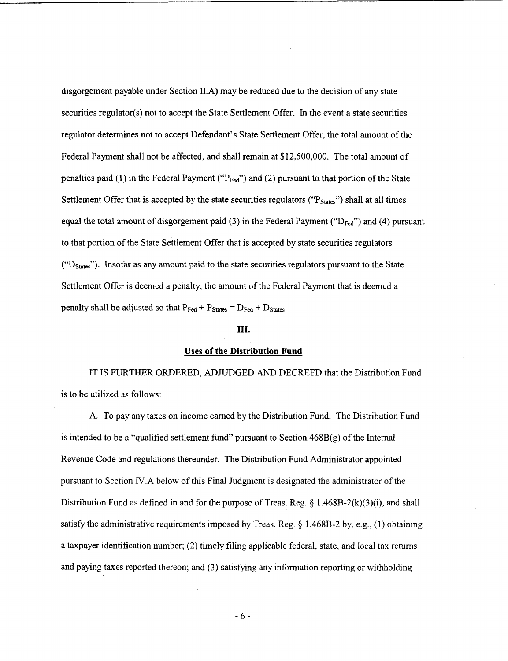disgorgement payable under Section II.A) may be reduced due to the decision of any state securities regulator(s) not to accept the State Settlement Offer. In the event a state securities regulator determines not to accept Defendant's State Settlement Offer, the total amount of the Federal Payment shall not be affected, and shall remain at \$12,500,000. The total amount of penalties paid  $(1)$  in the Federal Payment ("P<sub>Fed</sub>") and  $(2)$  pursuant to that portion of the State Settlement Offer that is accepted by the state securities regulators (" $P_{\text{States}}$ ") shall at all times equal the total amount of disgorgement paid (3) in the Federal Payment ("D<sub>Fed</sub>") and (4) pursuant to that portion of the State Settlement Offer that is accepted by state securities regulators **("Dstates)').** Insofar as any amount paid to the state securities regulators pursuant to the State Settlement Offer is deemed a penalty, the amount of the Federal Payment that is deemed a penalty shall be adjusted so that  $P_{\text{Fed}} + P_{\text{States}} = D_{\text{Fed}} + D_{\text{States}}$ .

#### **111.**

#### **Uses of the Distribution Fund**

IT **IS** FURTHER ORDERED, ADJUDGED **AND** DECREED that the Distribution Fund is to be utilized as follows:

**A.** To pay any taxes on income earned by the Distribution Fund. The Distribution Fund is intended to be a "qualified settlement fund" pursuant to Section  $468B(g)$  of the Internal Revenue Code and regulations thereunder. The Distribution Fund Administrator appointed pursuant to Section **IV.A** below of this Final Judgment is designated the administrator of the Distribution Fund **as** defined in and for the purpose of Treas. Reg. *5* 1.468B-2(k)(3)(i), and shall satisfy the administrative requirements imposed by Treas. Reg.  $\S$  1.468B-2 by, e.g., (1) obtaining a taxpayer identification number; (2) timely filing applicable federal, state, and local tax returns and paying taxes reported thereon; and (3) satisfying any information reporting or withholding

*-6-*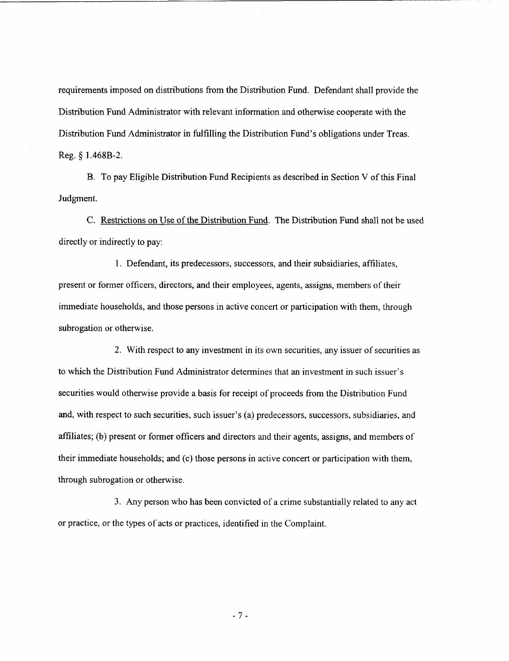requirements imposed on distributions from the Distribution Fund. Defendant shall provide the Distribution Fund Administrator with relevant information and otherwise cooperate with the Distribution Fund Administrator in fulfilling the Distribution Fund's obligations under Treas. Reg. *Q* **1.468B-2.** 

B. To pay Eligible Distribution Fund Recipients as described in Section V of this Final Judgment.

C. Restrictions on Use of the Distribution Fund. The Distribution Fund shall not be used directly or indirectly to pay:

1. Defendant, its predecessors, successors, and their subsidiaries, affiliates, present or former officers, directors, and their employees, agents, assigns, members of their immediate households, and those persons in active concert or participation with them, through subrogation or otherwise.

2. With respect to any investment in its own securities, any issuer of securities as to which the Distribution Fund Administrator determines that an investment in such issuer's securities would otherwise provide a basis for receipt of proceeds from the Distribution Fund and, with respect to such securities, such issuer's (a) predecessors, successors, subsidiaries, and affiliates; (b) present or former officers and directors and their agents, assigns, and members of their immediate households; and (c) those persons in active concert or participation with them, through subrogation or otherwise.

3. Any person who has been convicted of a crime substantially related to any act or practice, or the types of acts or practices, identified in the Complaint.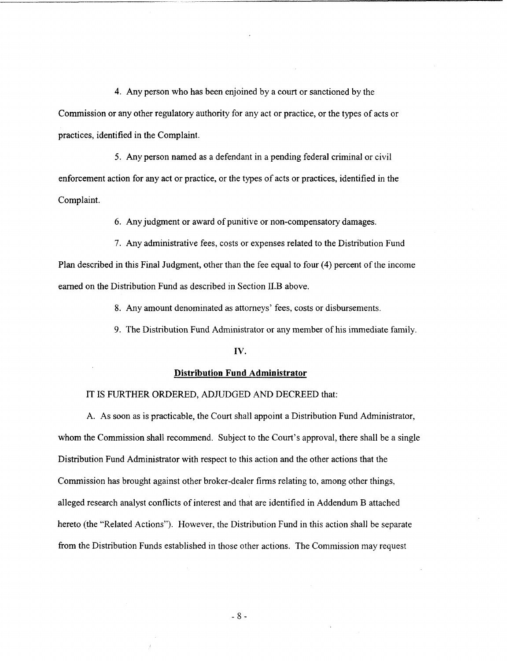**4.** Any person who has been enjoined by a court or sanctioned by the Commission or any other regulatory authority for any act or practice, or the types of acts or practices, identified in the Complaint.

*5.* Any person named as a defendant in a pending federal criminal or civil enforcement action for any act or practice, or the types of acts or practices, identified in the Complaint.

*6.* Any judgment or award of punitive or non-compensatory damages.

7. Any administrative fees, costs or expenses related to the Distribution Fund Plan described in this Final Judgment, other than the fee equal to four **(4)** percent of the income earned on the Distribution Fund as described in Section I1.B above.

**8.** Any amount denominated as attorneys' fees, costs or disbursements.

9. The Distribution Fund Administrator **or** any member of his immediate family.

#### **IV.**

### **Distribution Fund Administrator**

## IT IS FURTHER ORDERED, ADJUDGED AND DECREED that:

**A.** As soon as is practicable, the Court shall appoint a Distribution Fund Administrator, whom the Commission shall recommend. Subject to the Court's approval, there shall be a single Distribution Fund Administrator with respect to this action and the other actions that the Commission has brought against other broker-dealer firms relating to, among other things, alleged research analyst conflicts of interest and that are identified in Addendum B attached hereto (the "Related Actions"). However, the Distribution Fund in this action shall be separate from the Distribution Funds established in those other actions. The Commission may request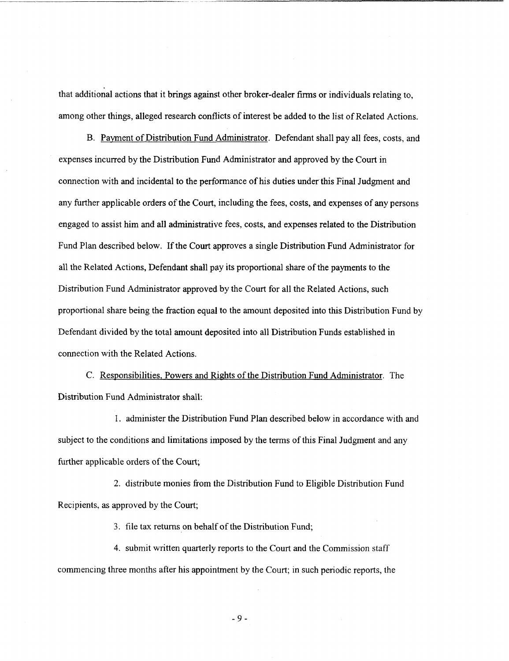that additional actions that it brings against other broker-dealer firms or individuals relating to, among other things, alleged research conflicts of interest be added to the list of Related Actions.

B. Payment of Distribution Fund Administrator. Defendant shall pay all fees, costs, and expenses incurred by the Distribution Fund Administrator and approved by the Court in connection with and incidental to the performance of his duties under this Final Judgment and any further applicable orders of the Court, including the fees, costs, and expenses of any persons engaged to assist him and all administrative fees, costs, and expenses related to the Distribution Fund Plan described below. If the Court approves a single Distribution Fund Administrator for all the Related Actions, Defendant shall pay its proportional share of the payments to the Distribution Fund Administrator approved by the Court for all the Related Actions, such proportional share being the fraction equal to the amount deposited into this Distribution Fund by Defendant divided by the total amount deposited into all Distribution Funds established in connection with the Related Actions.

C. Responsibilities, Powers and Rights of the Distribution Fund Administrator. The Distribution Fund Administrator shall:

1. administer the Distribution Fund Plan described below in accordance with and subject to the conditions and limitations imposed by the terms of this Final Judgment and any further applicable orders of the Court;

2. distribute monies from the Distribution Fund to Eligible Distribution Fund Recipients, **as** approved by the Court;

*3.* file tax returns on behalf of the Distribution Fund;

4. submit written quarterly reports to the Court and the Commission staff commencing three months after his appointment by the Court; in such periodic reports, the

-9-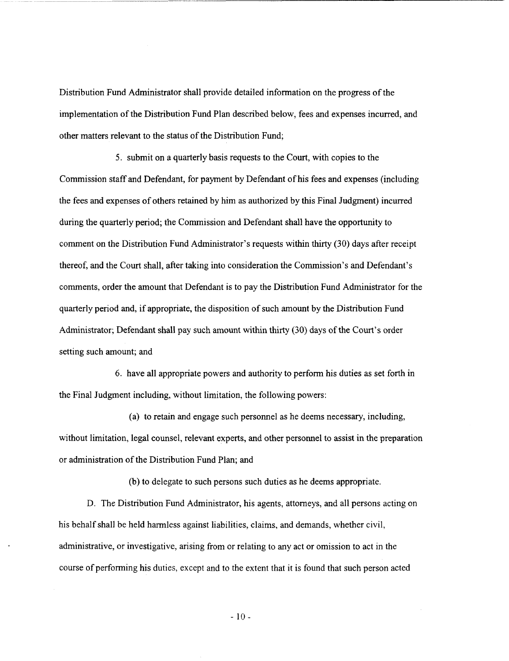Distribution Fund Administrator shall provide detailed information on the progress of the implementation of the Distribution Fund Plan described below, fees and expenses incurred, and other matters relevant to the status of the Distribution Fund;

5. submit on a quarterly basis requests to the Court, with copies to the Commission staff and Defendant, for payment by Defendant of his fees and expenses (including the fees and expenses of others retained by him as authorized by this Final Judgment) incurred during the quarterly period; the Commission and Defendant shall have the opportunity to comment on the Distribution Fund Administrator's requests within thirty **(30)** days after receipt thereof, and the Court shall, after taking into consideration the Commission's and Defendant's comments, order the amount that Defendant is to pay the Distribution Fund Administrator for the quarterly period and, if appropriate, the disposition of such amount by the Distribution Fund Administrator; Defendant shall pay such amount within thirty **(30)** days of the Court's order setting such amount; and

6. have all appropriate powers and authority to perform his duties as set forth in the Final Judgment including, without limitation, the following powers:

(a) to retain and engage such personnel **as** he deems necessary, including, without limitation, legal counsel, relevant experts, **and** other personnel to assist in the preparation or administration of the Distribution Fund Plan; and

(b) to delegate to such persons such duties **as** he deems appropriate.

D. The Distribution Fund Administrator, his agents, attorneys, and all persons acting on his behalf shall be held harmless against liabilities, claims, and demands, whether civil, administrative, or investigative, arising from or relating to any act or omission to act in the course of performing his duties, except and to the extent that it is found that such person acted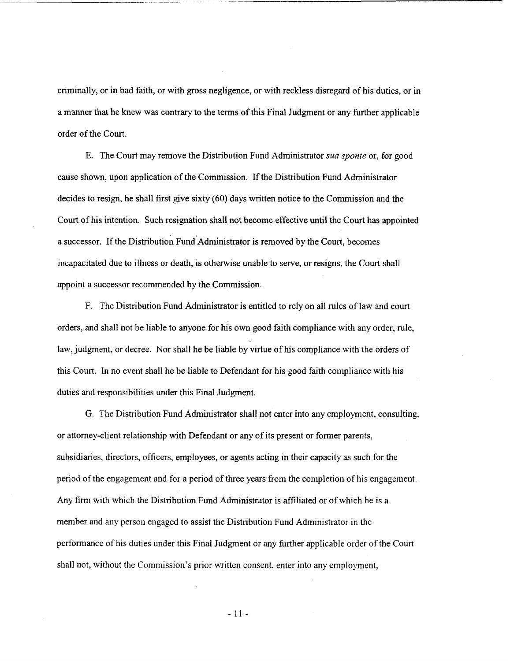criminally, or in bad faith, or with gross negligence, or with reckless disregard of his duties, or in a manner that he knew was contrary to the terms of this Final Judgment or any further applicable order of the Court.

E. The Court may remove the Distribution Fund Administrator *sua sponte* or, for good cause shown, upon application of the Commission. If the Distribution Fund Administrator decides to resign, he shall first give sixty (60) days written notice to the Commission and the Court of his intention. Such resignation shall not become effective until the Court has appointed a successor. If the Distribution Fund Administrator is removed by the Court, becomes incapacitated due to illness or death, is otherwise unable to serve, or resigns, the Court shall appoint a successor recommended by the Commission.

**F.** The Distribution Fund Administrator is entitled to rely on all rules of law and court orders, and shall not be liable to anyone for his own good faith compliance with any order, rule, law, judgment, or decree. Nor shall he be liable by virtue of his compliance with the orders of this Court. In no event shall he be liable to Defendant for his good faith compliance with his duties and responsibilities under this Final Judgment.

G. The Distribution Fund Administrator shall not enter into any employment, consulting, or attorney-client relationship with Defendant or any of its present or former parents, subsidiaries, directors, officers, employees, or agents acting in their capacity **as** such for the period of the engagement and for a period of three years from the completion **of** his engagement. Any firm with which the Distribution Fund Administrator is affiliated or of which he is a member and any person engaged to assist the Distribution Fund Administrator in the performance of his duties under this Final Judgment or any further applicable order of the Court shall not, without the Commission's prior written consent, enter into any employment,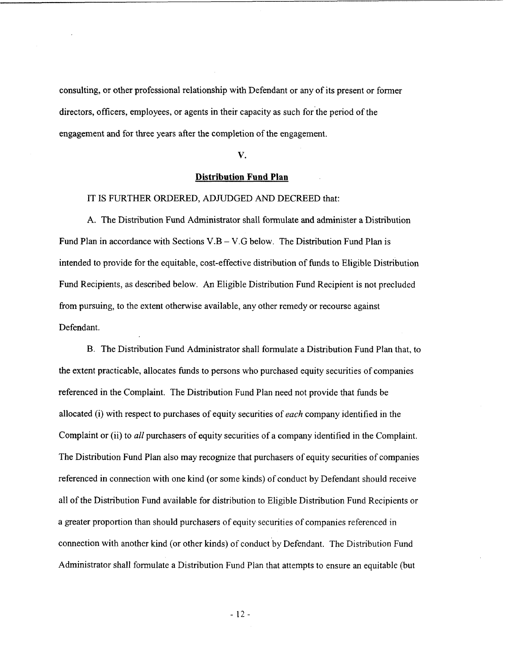consulting, or other professional relationship with Defendant or any of its present or former directors, officers, employees, or agents in their capacity as such for the period of the engagement **and** for three years after the completion of the engagement.

#### **V.**

## **Distribution Fund Plan**

## IT **IS** FURTHER ORDERED, ADJUDGED AND DECREED that:

A. The Distribution Fund Administrator shall formulate and administer a Distribution Fund Plan in accordance with Sections  $V.B - V.G$  below. The Distribution Fund Plan is intended to provide for the equitable, cost-effective distribution of funds to Eligible Distribution Fund Recipients, as described below. An Eligible Distribution Fund Recipient is not precluded from pursuing, to the extent otherwise available, any other remedy or recourse against Defendant.

B. The Distribution Fund Administrator shall formulate a Distribution Fund Plan that, to the extent practicable, allocates funds to persons who purchased equity securities of companies referenced in the Complaint. The Distribution Fund Plan need not provide that funds be allocated (i) with respect to purchases of equity securities of *each* company identified in the Complaint or (ii) to *all* purchasers of equity securities of a company identified in the Complaint. The Distribution Fund Plan also may recognize that purchasers of equity securities of companies referenced in connection with one kind (or some kinds) of conduct by Defendant should receive all of the Distribution Fund available for distribution to Eligible Distribution Fund Recipients or a greater proportion than should purchasers of equity securities of companies referenced in connection with another kind (or other kinds) of conduct by Defendant. The Distribution Fund Administrator shall formulate a Distribution Fund Plan that attempts to ensure an equitable (but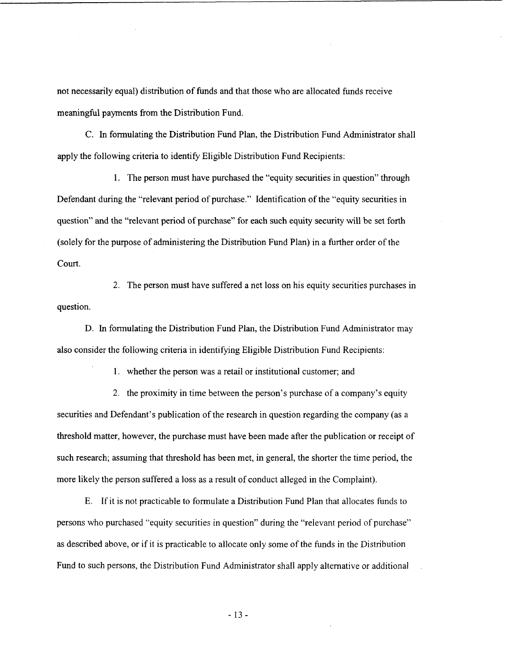not necessarily equal) distribution of funds and that those who are allocated funds receive meaningful payments from the Distribution Fund.

C. In formulating the Distribution Fund Plan, the Distribution Fund Administrator shall apply the following criteria to identify Eligible Distribution Fund Recipients:

1. The person must have purchased the "equity securities in question" through Defendant during the "relevant period of purchase." Identification of the "equity securities in question" and the "relevant period of purchase" for each such equity security will be set forth (solely for the purpose of administering the Distribution Fund Plan) in **a** further order of the court.

2. The person must have suffered a net loss on his equity securities purchases in question.

D. In formulating the Distribution Fund Plan, the Distribution Fund Administrator may also consider the following criteria in identifying Eligible Distribution Fund Recipients:

1. whether the person was a retail or institutional customer; and

2. the proximity in time between the person's purchase of a company's equity securities and Defendant's publication of the research in question regarding the company (as a threshold matter, however, the purchase must have been made after the publication or receipt of such research; assuming that threshold has been met, in general, the shorter the time period, the more likely the person suffered a loss as a result of conduct alleged in the Complaint).

E. If it is not practicable to formulate a Distribution Fund Plan that allocates funds to persons who purchased "equity securities in question" during the "relevant period of purchase" as described above, or if it is practicable to allocate only some of the funds in the Distribution Fund to such persons, the Distribution Fund Administrator shall apply alternative or additional

-13-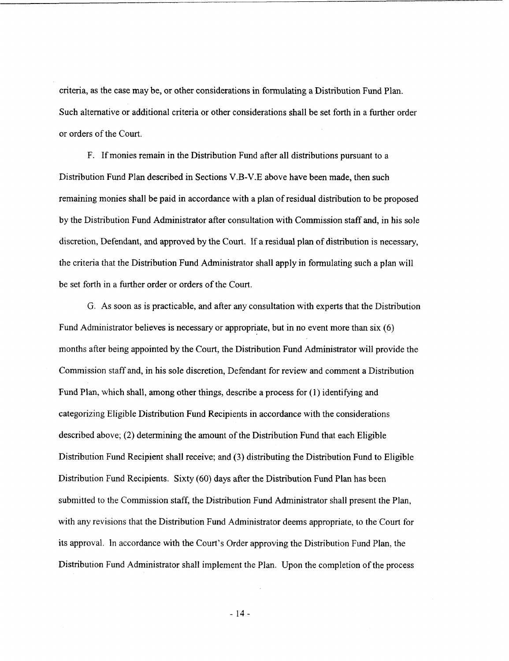criteria, **as** the case may be, or other considerations in formulating a Distribution Fund Plan. Such alternative or additional criteria or other considerations shall be set forth in a further order or orders of the Court.

F. If monies remain in the Distribution Fund after all distributions pursuant to a Distribution Fund Plan described in Sections V.B-V.E above have been made, then such remaining monies shall be paid in accordance with a plan of residual distribution to be proposed by the Distribution Fund Administrator after consultation with Commission staff and, in his sole discretion, Defendant, **and** approved by the Court. If a residual plan of distribution is necessary, the criteria that the Distribution Fund Administrator shall apply in formulating such a plan will be set forth in a further order or orders of the Court.

G. **As** soon as is practicable, and after any consultation with experts that the Distribution Fund Administrator believes is necessary or appropriate, but in no event more than six (6) months after being appointed by the Court, the Distribution Fund Administrator will provide the Commission staff and, in his sole discretion, Defendant for review and comment **a** Distribution Fund Plan, which shall, among other things, describe a process for (1) identifying and categorizing Eligible Distribution Fund Recipients in accordance with the considerations described above; **(2)** determining the amount of the Distribution Fund that each Eligible Distribution Fund Recipient shall receive; and **(3)** distributing the Distribution Fund to Eligible Distribution Fund Recipients. Sixty (60) days after the Distribution Fund Plan has been submitted to the Commission staff, the Distribution Fund Administrator shall present the Plan, with any revisions that the Distribution Fund Administrator deems appropriate, to the Court for its approval. In accordance with the Court's Order approving the Distribution Fund Plan, the Distribution Fund Administrator shall implement the Plan. Upon the completion of the process

- 14-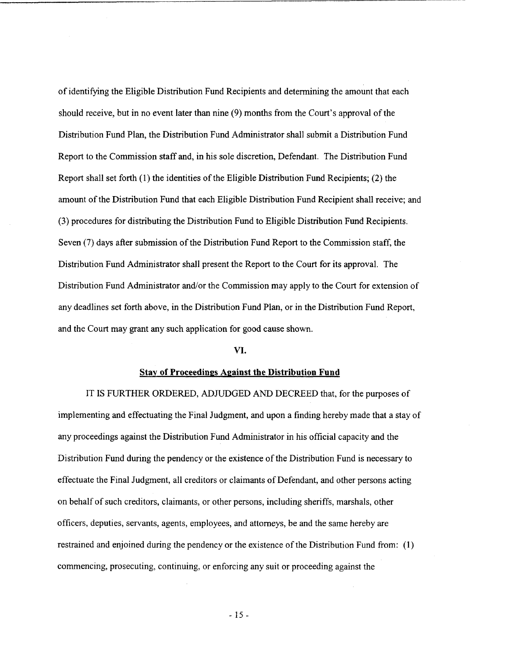of identifylng the Eligible Distribution Fund Recipients and determining the amount that each should receive, but in no event later than nine (9) months from the Court's approval of the Distribution Fund Plan, the Distribution Fund Administrator shall submit a Distribution Fund Report to the Commission staff and, in his sole discretion, Defendant. The Distribution Fund Report shall set forth (1) the identities of the Eligible Distribution Fund Recipients; **(2)** the amount of the Distribution Fund that each Eligible Distribution Fund Recipient shall receive; and (3) procedures for distributing the Distribution Fund to Eligible Distribution Fund Recipients. Seven (7) days after submission of the Distribution Fund Report to the Commission staff, the Distribution Fund Administrator shall present the Report to the Court for its approval. The Distribution Fund Administrator and/or the Commission may apply to the Court for extension of any deadlines set forth above, in the Distribution Fund Plan, or in the Distribution Fund Report, and the Court may grant any such application for good cause shown.

#### **VI.**

#### **Stay of Proceedings Against the Distribution Fund**

IT **IS** FURTHER ORDERED, ADJUDGED AND DECREED that, for the purposes of implementing and effectuating the Final Judgment, and upon a finding hereby made that a stay of any proceedings against the Distribution Fund Administrator in his official capacity and the Distribution Fund during the pendency or the existence of the Distribution Fund is necessary to effectuate the Final Judgment, all creditors or claimants of Defendant, and other persons acting on behalf of such creditors, claimants, or other persons, including sheriffs, marshals, other officers, deputies, servants, agents, employees, and attorneys, be and the same hereby are restrained and enjoined during the pendency or the existence of the Distribution Fund from: (1) commencing, prosecuting, continuing, or enforcing any suit or proceeding against the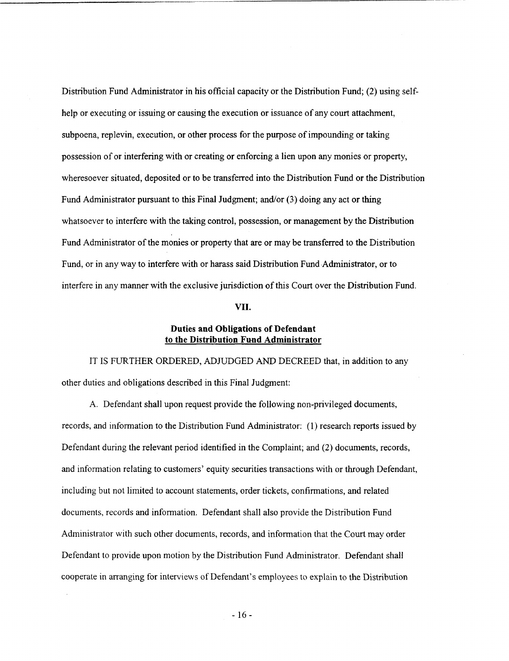Distribution Fund Administrator in his official capacity or the Distribution Fund; **(2)** using selfhelp or executing or issuing or causing the execution or issuance of any court attachment, subpoena, replevin, execution, or other process for the purpose of impounding or taking possession of or interfering with or creating or enforcing a lien upon any monies or property, wheresoever situated, deposited or to be transferred into the Distribution Fund or the Distribution Fund Administrator pursuant to this Final Judgment; and/or  $(3)$  doing any act or thing whatsoever to interfere with the taking control, possession, **or** management by the Distribution Fund Administrator of the monies or property that are or may be transferred to the Distribution Fund, or in any way to interfere with or harass said Distribution Fund.Administrator, or **to**  interfere in any manner with the exclusive jurisdiction of ths Court over the Distribution Fund.

## **VII.**

## Duties and Obligations of Defendant to the Distribution **Fund** Administrator

IT **IS** FURTHER ORDERED, ADJUDGED *AND* DECREED that, in addition to any other duties and obligations described in this Final Judgment:

A. Defendant shall upon request provide the following non-privileged documents, records, and information to the Distribution Fund Administrator: (1) research reports issued by Defendant during the relevant period identified in the Complaint; and **(2)** documents, records, and information relating to customers' equity securities transactions with or through Defendant, including but not limited to account statements, order tickets, confirmations, and related documents, records and information. Defendant shall also provide the Distribution Fund Administrator with such other documents, records, and information that the Court may order Defendant to provide upon motion by the Distribution Fund Administrator. Defendant shall cooperate in arranging for interviews of Defendant's employees to explain to the Distribution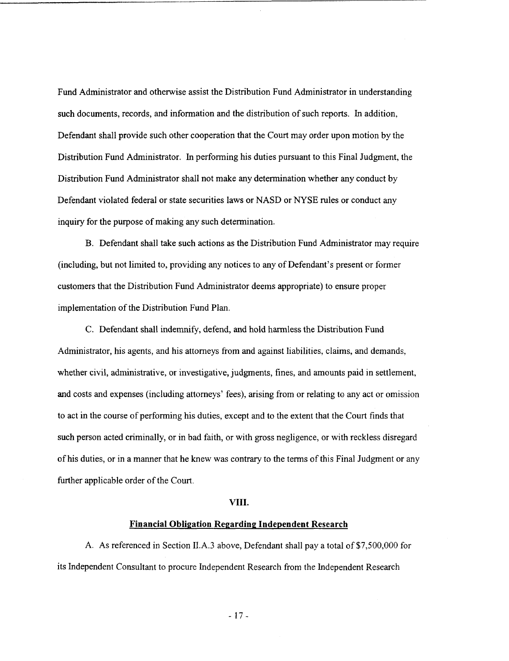Fund Administrator and otherwise assist the Distribution Fund Administrator in understanding such documents, records, and information and the distribution of such reports. In addition, Defendant shall provide such other cooperation that the Court may order upon motion by the Distribution Fund Administrator. In performing his duties pursuant to this Final Judgment, the Distribution Fund Administrator shall not make any determination whether any conduct by Defendant violated federal or state securities laws or NASD or **NYSE** rules or conduct any inquiry for the purpose of making any such determination.

B. Defendant shall take such actions as the Distribution Fund Administrator may require (including, but not limited to, providing any notices to any of Defendant's present or former customers that the Distribution Fund Administrator deems appropriate) to ensure proper implementation of the Distribution Fund Plan.

C. Defendant shall indemnify, defend, and hold harmless the Distribution Fund Administrator, his agents, and his attorneys from and against liabilities, claims, and demands, whether civil, administrative, or investigative, judgments, fines, and amounts paid in settlement, and costs and expenses (including attorneys' fees), arising from or relating to any act or omission to act in the course of performing his duties, except and to the extent that the Court finds that such person acted criminally, or in bad faith, or with gross negligence, or with reckless disregard of his duties, or in a manner that he knew was contrary to the terms of this Final Judgment or any further applicable order of the Court.

## **VIII.**

## **Financial Obligation Regarding Independent Research**

**A. As** referenced in Section II.A.3 above, Defendant shall pay **a** total of \$7,500,000 for its Independent Consultant to procure Independent Research from the Independent Research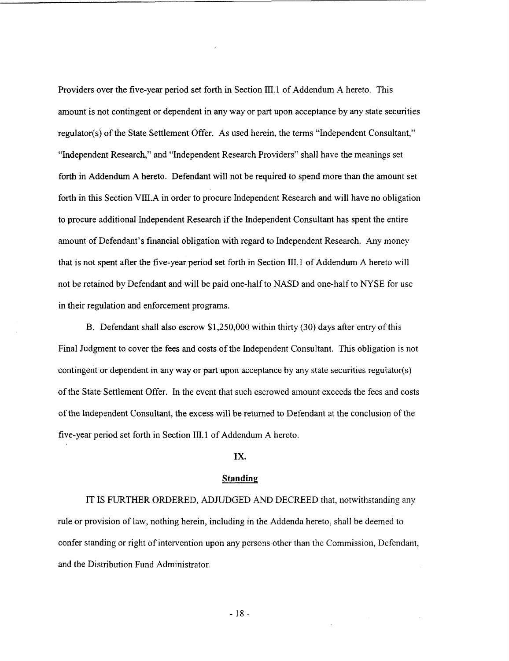Providers over the five-year period set forth in Section III. **1** of Addendum **A** hereto. This amount is not contingent or dependent in any way or part upon acceptance by any state securities regulator(s) of the State Settlement Offer. As used herein, the terms "Independent Consultant," "Independent Research," and "Independent Research Providers" shall have the meanings set forth in Addendum A hereto. Defendant will not be required to spend more than the amount set forth in this Section VIII.A in order to procure Independent Research and will have no obligation to procure additional Independent Research if the Independent Consultant has spent the entire amount of Defendant's financial obligation with regard to Independent Research. Any money that is not spent after the five-year period set forth in Section **111.1** of Addendum A hereto will not be retained by Defendant and will be paid one-half to NASD and one-half to NYSE for use in their regulation and enforcement programs.

B. Defendant shall also escrow \$1,250,000 within thirty (30) days after entry of this Final Judgment to cover the fees and costs of the Independent Consultant. This obligation is not contingent or dependent in any way or part upon acceptance by any state securities regulator(s) of the State Settlement Offer. In the event that such escrowed amount exceeds the fees and costs of the Independent Consultant, the excess will be returned to Defendant at the conclusion of the five-year period set forth in Section III. **1** of Addendum A hereto.

## **IX.**

#### **Standing**

IT IS FURTHER ORDERED, ADJUDGED AND DECREED that, notwithstanding any rule or provision of law, nothing herein, including in the Addenda hereto, shall be deemed to confer standing or right of intervention upon any persons other than the Commission, Defendant, and the Distribution Fund Administrator.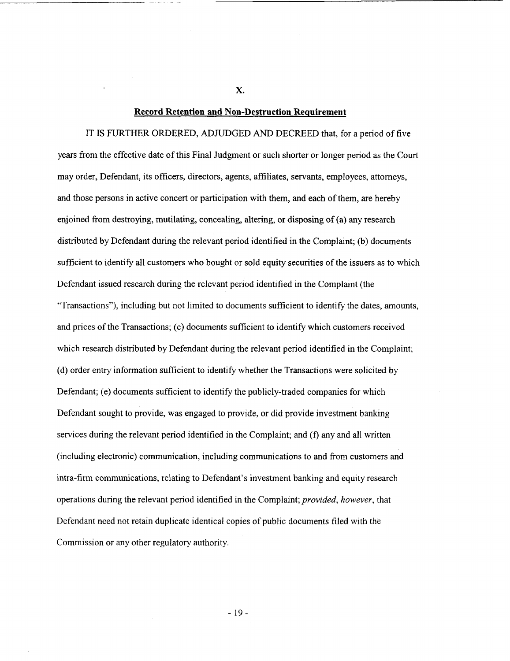#### **Record Retention and Non-Destruction Requirement**

IT **IS** FURTHER ORDERED, ADJUDGED *AND* DECREED that, for a period of five years from the effective date of this Final Judgment or such shorter or longer period as the Court may order, Defendant, its officers, directors, agents, affiliates, servants, employees, attorneys, and those persons in active concert or participation with them, and each of them, are hereby enjoined from destroying, mutilating, concealing, altering, or disposing of (a) any research distributed by Defendant during the relevant period identified in the Complaint; (b) documents sufficient to identify all customers who bought or sold equity securities of the issuers **as** to which Defendant issued research during the relevant period identified in the Complaint (the "Transactions"), including but not limited to documents sufficient to identify the dates, amounts, and prices of the Transactions; (c) documents sufficient to identify which customers received which research distributed by Defendant during the relevant period identified in the Complaint; (d) order entry information sufficient to identify whether the Transactions were solicited by Defendant; (e) documents sufficient to identify the publicly-traded companies for which Defendant sought to provide, was engaged to provide, or did provide investment banking services during the relevant period identified in the Complaint; and (f) any and all written (including electronic) communication, including communications to and from customers and intra-firm communications, relating to Defendant's investment banking and equity research operations during the relevant period identified in the Complaint; *provided, however,* that Defendant need not retain duplicate identical copies of public documents filed with the Commission or any other regulatory authority.

**X.**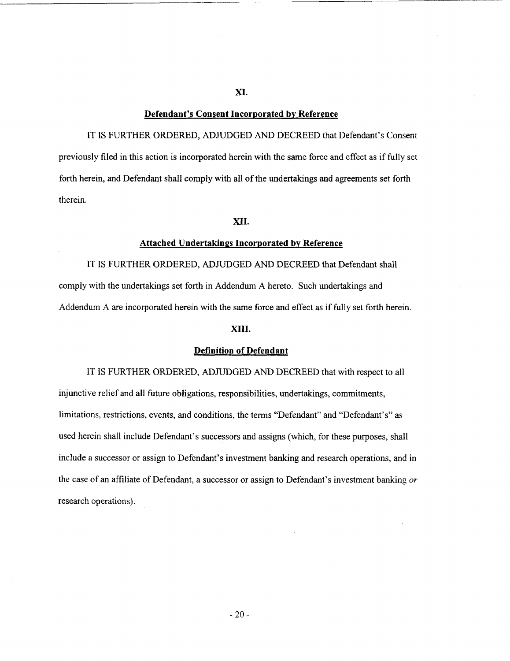# **Defendant's Consent Incorporated bv Reference**

**XI.** 

IT IS FURTHER ORDERED, ADJUDGED **AND** DECREED that Defendant's Consent previously filed in this action is incorporated herein with the same force and effect as if fully set forth herein, and Defendant shall comply with all of the undertakings and agreements set forth therein.

## **XII.**

### **Attached Undertakings Incorporated bv Reference**

IT IS FURTHER ORDERED, ADJUDGED AND DECREED that Defendant shall comply with the undertakings set forth in Addendum A hereto. Such undertakings and Addendum **A** are incorporated herein with the same force and effect as if fully set forth herein.

## **XIII.**

## **Definition of Defendant**

IT IS FURTHER ORDERED, ADJUDGED **AND** DECREED that with respect to all injunctive relief and all hture obligations, responsibilities, undertakings, commitments, limitations, restrictions, events, and conditions, the terms "Defendant" and "Defendant's'' **as**  used herein shall include Defendant's successors and assigns (which, for these purposes, shall include a successor or assign to Defendant's investment banking and research operations, and in the case of an affiliate of Defendant, a successor or assign to Defendant's investment banking *or*  research operations).